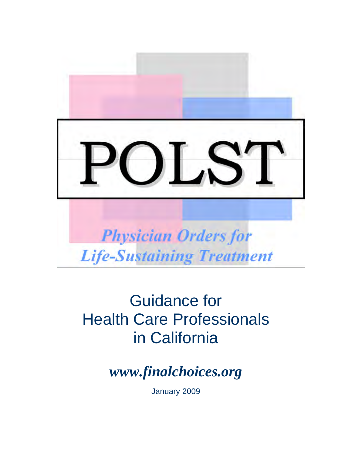I S **Physician Orders for Life-Sustaining Treatment** 

# Guidance for Health Care Professionals in California

*www.finalchoices.org* 

January 2009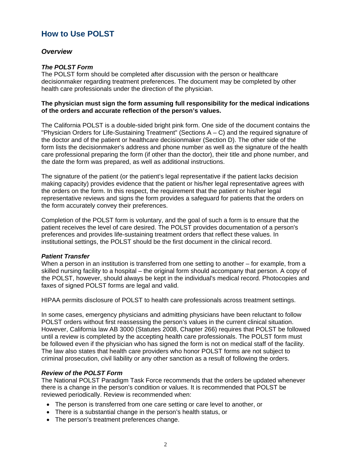# **How to Use POLST**

## *Overview*

## *The POLST Form*

The POLST form should be completed after discussion with the person or healthcare decisionmaker regarding treatment preferences. The document may be completed by other health care professionals under the direction of the physician.

## **The physician must sign the form assuming full responsibility for the medical indications of the orders and accurate reflection of the person's values.**

The California POLST is a double-sided bright pink form. One side of the document contains the "Physician Orders for Life-Sustaining Treatment" (Sections A – C) and the required signature of the doctor and of the patient or healthcare decisionmaker (Section D). The other side of the form lists the decisionmaker's address and phone number as well as the signature of the health care professional preparing the form (if other than the doctor), their title and phone number, and the date the form was prepared, as well as additional instructions.

The signature of the patient (or the patient's legal representative if the patient lacks decision making capacity) provides evidence that the patient or his/her legal representative agrees with the orders on the form. In this respect, the requirement that the patient or his/her legal representative reviews and signs the form provides a safeguard for patients that the orders on the form accurately convey their preferences.

Completion of the POLST form is voluntary, and the goal of such a form is to ensure that the patient receives the level of care desired. The POLST provides documentation of a person's preferences and provides life-sustaining treatment orders that reflect these values. In institutional settings, the POLST should be the first document in the clinical record.

## *Patient Transfer*

When a person in an institution is transferred from one setting to another – for example, from a skilled nursing facility to a hospital – the original form should accompany that person. A copy of the POLST, however, should always be kept in the individual's medical record. Photocopies and faxes of signed POLST forms are legal and valid.

HIPAA permits disclosure of POLST to health care professionals across treatment settings.

In some cases, emergency physicians and admitting physicians have been reluctant to follow POLST orders without first reassessing the person's values in the current clinical situation. However, California law AB 3000 (Statutes 2008, Chapter 266) requires that POLST be followed until a review is completed by the accepting health care professionals. The POLST form must be followed even if the physician who has signed the form is not on medical staff of the facility. The law also states that health care providers who honor POLST forms are not subject to criminal prosecution, civil liability or any other sanction as a result of following the orders.

#### *Review of the POLST Form*

The National POLST Paradigm Task Force recommends that the orders be updated whenever there is a change in the person's condition or values. It is recommended that POLST be reviewed periodically. Review is recommended when:

- The person is transferred from one care setting or care level to another, or
- There is a substantial change in the person's health status, or
- The person's treatment preferences change.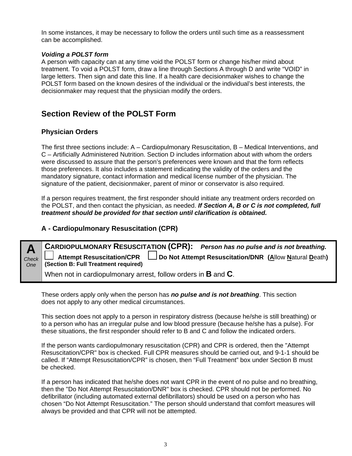In some instances, it may be necessary to follow the orders until such time as a reassessment can be accomplished.

## *Voiding a POLST form*

A person with capacity can at any time void the POLST form or change his/her mind about treatment. To void a POLST form, draw a line through Sections A through D and write "VOID" in large letters. Then sign and date this line. If a health care decisionmaker wishes to change the POLST form based on the known desires of the individual or the individual's best interests, the decisionmaker may request that the physician modify the orders.

# **Section Review of the POLST Form**

# **Physician Orders**

The first three sections include: A – Cardiopulmonary Resuscitation, B – Medical Interventions, and C – Artificially Administered Nutrition. Section D includes information about with whom the orders were discussed to assure that the person's preferences were known and that the form reflects those preferences. It also includes a statement indicating the validity of the orders and the mandatory signature, contact information and medical license number of the physician. The signature of the patient, decisionmaker, parent of minor or conservator is also required.

If a person requires treatment, the first responder should initiate any treatment orders recorded on the POLST, and then contact the physician, as needed. *If Section A, B or C is not completed, full treatment should be provided for that section until clarification is obtained.*

# **A - Cardiopulmonary Resuscitation (CPR)**

**A**  *Check One*  **CARDIOPULMONARY RESUSCITATION (CPR):** *Person has no pulse and is not breathing.* **Attempt Resuscitation/CPR Do Not Attempt Resuscitation/DNR (A**llow **N**atural **D**eath**) (Section B: Full Treatment required)** When not in cardiopulmonary arrest, follow orders in **B** and **C**.

These orders apply only when the person has *no pulse and is not breathing*. This section does not apply to any other medical circumstances.

This section does not apply to a person in respiratory distress (because he/she is still breathing) or to a person who has an irregular pulse and low blood pressure (because he/she has a pulse). For these situations, the first responder should refer to B and C and follow the indicated orders.

If the person wants cardiopulmonary resuscitation (CPR) and CPR is ordered, then the "Attempt Resuscitation/CPR" box is checked. Full CPR measures should be carried out, and 9-1-1 should be called. If "Attempt Resuscitation/CPR" is chosen, then "Full Treatment" box under Section B must be checked.

If a person has indicated that he/she does not want CPR in the event of no pulse and no breathing, then the "Do Not Attempt Resuscitation/DNR" box is checked. CPR should not be performed. No defibrillator (including automated external defibrillators) should be used on a person who has chosen "Do Not Attempt Resuscitation." The person should understand that comfort measures will always be provided and that CPR will not be attempted.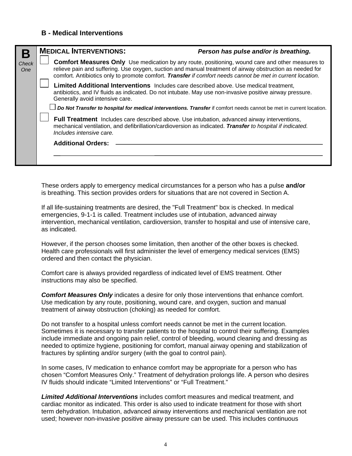## **B - Medical Interventions**

| Б                   | <b>MEDICAL INTERVENTIONS:</b>                                                                                                                                                                                                                | Person has pulse and/or is breathing.                                                                                                                                                                                                                                                                                             |  |  |  |
|---------------------|----------------------------------------------------------------------------------------------------------------------------------------------------------------------------------------------------------------------------------------------|-----------------------------------------------------------------------------------------------------------------------------------------------------------------------------------------------------------------------------------------------------------------------------------------------------------------------------------|--|--|--|
| <b>Check</b><br>One |                                                                                                                                                                                                                                              | <b>Comfort Measures Only</b> Use medication by any route, positioning, wound care and other measures to<br>relieve pain and suffering. Use oxygen, suction and manual treatment of airway obstruction as needed for<br>comfort. Antibiotics only to promote comfort. Transfer if comfort needs cannot be met in current location. |  |  |  |
|                     | Generally avoid intensive care.                                                                                                                                                                                                              | Limited Additional Interventions Includes care described above. Use medical treatment,<br>antibiotics, and IV fluids as indicated. Do not intubate. May use non-invasive positive airway pressure.                                                                                                                                |  |  |  |
|                     |                                                                                                                                                                                                                                              | Do Not Transfer to hospital for medical interventions. Transfer if comfort needs cannot be met in current location.                                                                                                                                                                                                               |  |  |  |
|                     | <b>Full Treatment</b> Includes care described above. Use intubation, advanced airway interventions,<br>mechanical ventilation, and defibrillation/cardioversion as indicated. Transfer to hospital if indicated.<br>Includes intensive care. |                                                                                                                                                                                                                                                                                                                                   |  |  |  |
|                     | <b>Additional Orders:</b>                                                                                                                                                                                                                    |                                                                                                                                                                                                                                                                                                                                   |  |  |  |
|                     |                                                                                                                                                                                                                                              |                                                                                                                                                                                                                                                                                                                                   |  |  |  |
|                     |                                                                                                                                                                                                                                              |                                                                                                                                                                                                                                                                                                                                   |  |  |  |

These orders apply to emergency medical circumstances for a person who has a pulse **and/or** is breathing. This section provides orders for situations that are not covered in Section A.

If all life-sustaining treatments are desired, the "Full Treatment" box is checked. In medical emergencies, 9-1-1 is called. Treatment includes use of intubation, advanced airway intervention, mechanical ventilation, cardioversion, transfer to hospital and use of intensive care, as indicated.

However, if the person chooses some limitation, then another of the other boxes is checked. Health care professionals will first administer the level of emergency medical services (EMS) ordered and then contact the physician.

Comfort care is always provided regardless of indicated level of EMS treatment. Other instructions may also be specified.

**Comfort Measures Only** indicates a desire for only those interventions that enhance comfort. Use medication by any route, positioning, wound care, and oxygen, suction and manual treatment of airway obstruction (choking) as needed for comfort.

Do not transfer to a hospital unless comfort needs cannot be met in the current location. Sometimes it is necessary to transfer patients to the hospital to control their suffering. Examples include immediate and ongoing pain relief, control of bleeding, wound cleaning and dressing as needed to optimize hygiene, positioning for comfort, manual airway opening and stabilization of fractures by splinting and/or surgery (with the goal to control pain).

In some cases, IV medication to enhance comfort may be appropriate for a person who has chosen "Comfort Measures Only." Treatment of dehydration prolongs life. A person who desires IV fluids should indicate "Limited Interventions" or "Full Treatment."

*Limited Additional Interventions* includes comfort measures and medical treatment, and cardiac monitor as indicated. This order is also used to indicate treatment for those with short term dehydration. Intubation, advanced airway interventions and mechanical ventilation are not used; however non-invasive positive airway pressure can be used. This includes continuous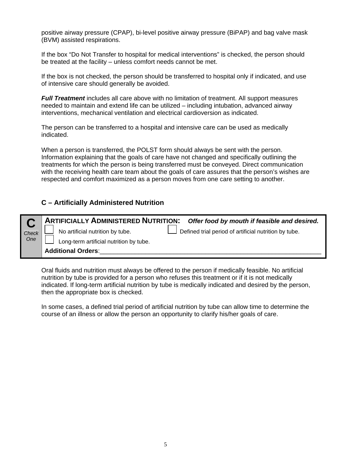positive airway pressure (CPAP), bi-level positive airway pressure (BiPAP) and bag valve mask (BVM) assisted respirations.

If the box "Do Not Transfer to hospital for medical interventions" is checked, the person should be treated at the facility – unless comfort needs cannot be met.

If the box is not checked, the person should be transferred to hospital only if indicated, and use of intensive care should generally be avoided.

*Full Treatment* includes all care above with no limitation of treatment. All support measures needed to maintain and extend life can be utilized – including intubation, advanced airway interventions, mechanical ventilation and electrical cardioversion as indicated.

The person can be transferred to a hospital and intensive care can be used as medically indicated.

When a person is transferred, the POLST form should always be sent with the person. Information explaining that the goals of care have not changed and specifically outlining the treatments for which the person is being transferred must be conveyed. Direct communication with the receiving health care team about the goals of care assures that the person's wishes are respected and comfort maximized as a person moves from one care setting to another.

# **C – Artificially Administered Nutrition**

|              | ARTIFICIALLY ADMINISTERED NUTRITION: Offer food by mouth if feasible and desired.                                                    |  |  |  |  |
|--------------|--------------------------------------------------------------------------------------------------------------------------------------|--|--|--|--|
| Check<br>One | No artificial nutrition by tube.<br>Defined trial period of artificial nutrition by tube.<br>Long-term artificial nutrition by tube. |  |  |  |  |
|              | <b>Additional Orders:</b>                                                                                                            |  |  |  |  |

Oral fluids and nutrition must always be offered to the person if medically feasible. No artificial nutrition by tube is provided for a person who refuses this treatment or if it is not medically indicated. If long-term artificial nutrition by tube is medically indicated and desired by the person, then the appropriate box is checked.

In some cases, a defined trial period of artificial nutrition by tube can allow time to determine the course of an illness or allow the person an opportunity to clarify his/her goals of care.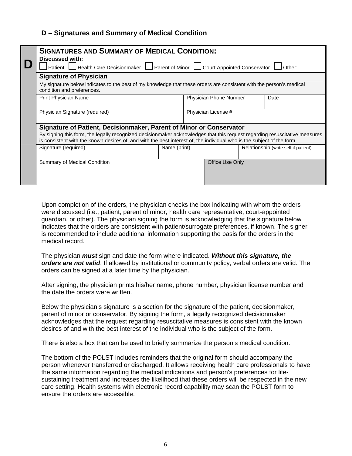# **D – Signatures and Summary of Medical Condition**

|  | <b>SIGNATURES AND SUMMARY OF MEDICAL CONDITION:</b><br><b>Discussed with:</b><br>Health Care Decisionmaker $\Box$ Parent of Minor $\Box$ Court Appointed Conservator<br>Patient    <br>Other:                                                        |  |                               |                     |                                      |  |  |  |  |  |
|--|------------------------------------------------------------------------------------------------------------------------------------------------------------------------------------------------------------------------------------------------------|--|-------------------------------|---------------------|--------------------------------------|--|--|--|--|--|
|  |                                                                                                                                                                                                                                                      |  |                               |                     |                                      |  |  |  |  |  |
|  | <b>Signature of Physician</b>                                                                                                                                                                                                                        |  |                               |                     |                                      |  |  |  |  |  |
|  | My signature below indicates to the best of my knowledge that these orders are consistent with the person's medical<br>condition and preferences.                                                                                                    |  |                               |                     |                                      |  |  |  |  |  |
|  | Print Physician Name                                                                                                                                                                                                                                 |  | <b>Physician Phone Number</b> |                     | Date                                 |  |  |  |  |  |
|  | Physician Signature (required)                                                                                                                                                                                                                       |  |                               | Physician License # |                                      |  |  |  |  |  |
|  | Signature of Patient, Decisionmaker, Parent of Minor or Conservator                                                                                                                                                                                  |  |                               |                     |                                      |  |  |  |  |  |
|  | By signing this form, the legally recognized decisionmaker acknowledges that this request regarding resuscitative measures<br>is consistent with the known desires of, and with the best interest of, the individual who is the subject of the form. |  |                               |                     |                                      |  |  |  |  |  |
|  | Signature (required)                                                                                                                                                                                                                                 |  | Name (print)                  |                     | Relationship (write self if patient) |  |  |  |  |  |
|  | Summary of Medical Condition                                                                                                                                                                                                                         |  |                               | Office Use Only     |                                      |  |  |  |  |  |
|  |                                                                                                                                                                                                                                                      |  |                               |                     |                                      |  |  |  |  |  |

Upon completion of the orders, the physician checks the box indicating with whom the orders were discussed (i.e., patient, parent of minor, health care representative, court-appointed guardian, or other). The physician signing the form is acknowledging that the signature below indicates that the orders are consistent with patient/surrogate preferences, if known. The signer is recommended to include additional information supporting the basis for the orders in the medical record.

The physician *must* sign and date the form where indicated. *Without this signature, the orders are not valid*. If allowed by institutional or community policy, verbal orders are valid. The orders can be signed at a later time by the physician.

After signing, the physician prints his/her name, phone number, physician license number and the date the orders were written.

Below the physician's signature is a section for the signature of the patient, decisionmaker, parent of minor or conservator. By signing the form, a legally recognized decisionmaker acknowledges that the request regarding resuscitative measures is consistent with the known desires of and with the best interest of the individual who is the subject of the form.

There is also a box that can be used to briefly summarize the person's medical condition.

The bottom of the POLST includes reminders that the original form should accompany the person whenever transferred or discharged. It allows receiving health care professionals to have the same information regarding the medical indications and person's preferences for lifesustaining treatment and increases the likelihood that these orders will be respected in the new care setting. Health systems with electronic record capability may scan the POLST form to ensure the orders are accessible.